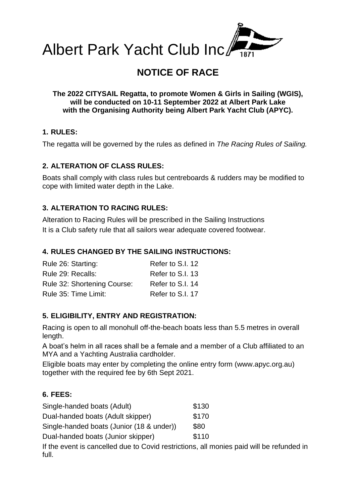

# **NOTICE OF RACE**

**The 2022 CITYSAIL Regatta, to promote Women & Girls in Sailing (WGIS), will be conducted on 10-11 September 2022 at Albert Park Lake with the Organising Authority being Albert Park Yacht Club (APYC).**

# **1. RULES:**

The regatta will be governed by the rules as defined in *The Racing Rules of Sailing.*

#### **2. ALTERATION OF CLASS RULES:**

Boats shall comply with class rules but centreboards & rudders may be modified to cope with limited water depth in the Lake.

#### **3. ALTERATION TO RACING RULES:**

Alteration to Racing Rules will be prescribed in the Sailing Instructions It is a Club safety rule that all sailors wear adequate covered footwear.

# **4. RULES CHANGED BY THE SAILING INSTRUCTIONS:**

| Rule 26: Starting:          | Refer to S.I. 12 |
|-----------------------------|------------------|
| Rule 29: Recalls:           | Refer to S.I. 13 |
| Rule 32: Shortening Course: | Refer to S.I. 14 |
| Rule 35: Time Limit:        | Refer to S.I. 17 |

# **5. ELIGIBILITY, ENTRY AND REGISTRATION:**

Racing is open to all monohull off-the-beach boats less than 5.5 metres in overall length.

A boat's helm in all races shall be a female and a member of a Club affiliated to an MYA and a Yachting Australia cardholder.

Eligible boats may enter by completing the online entry form [\(www.apyc.org.au\)](http://www.apyc.org.au/) together with the required fee by 6th Sept 2021.

# **6. FEES:**

| Single-handed boats (Adult)                               | \$130 |
|-----------------------------------------------------------|-------|
| Dual-handed boats (Adult skipper)                         | \$170 |
| Single-handed boats (Junior (18 & under))                 | \$80  |
| Dual-handed boats (Junior skipper)                        | \$110 |
| If the ovent is cancelled due to Covid restrictions all n |       |

If the event is cancelled due to Covid restrictions, all monies paid will be refunded in full.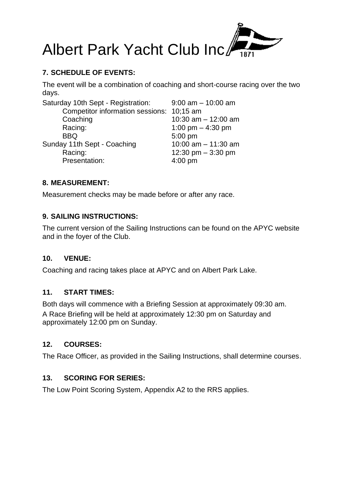

# **7. SCHEDULE OF EVENTS:**

The event will be a combination of coaching and short-course racing over the two days.

| Saturday 10th Sept - Registration:        | $9:00$ am $-10:00$ am |
|-------------------------------------------|-----------------------|
| Competitor information sessions: 10;15 am |                       |
| Coaching                                  | 10:30 am $-$ 12:00 am |
| Racing:                                   | 1:00 pm $-$ 4:30 pm   |
| <b>BBQ</b>                                | 5:00 pm               |
| Sunday 11th Sept - Coaching               | 10:00 $am - 11:30 am$ |
| Racing:                                   | 12:30 pm $-$ 3:30 pm  |
| Presentation:                             | $4:00$ pm             |

#### **8. MEASUREMENT:**

Measurement checks may be made before or after any race.

# **9. SAILING INSTRUCTIONS:**

The current version of the Sailing Instructions can be found on the APYC website and in the foyer of the Club.

#### **10. VENUE:**

Coaching and racing takes place at APYC and on Albert Park Lake.

#### **11. START TIMES:**

Both days will commence with a Briefing Session at approximately 09:30 am. A Race Briefing will be held at approximately 12:30 pm on Saturday and approximately 12:00 pm on Sunday.

#### **12. COURSES:**

The Race Officer, as provided in the Sailing Instructions, shall determine courses.

#### **13. SCORING FOR SERIES:**

The Low Point Scoring System, Appendix A2 to the RRS applies.